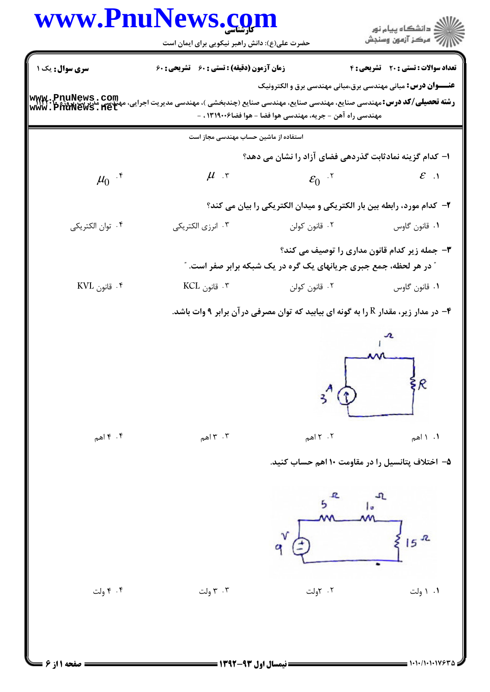# www.PnuNews.com

| زمان آزمون (دقیقه) : تستی : 60 ٪ تشریحی : 60<br>سری سوال: یک ۱<br><b>عنـــوان درس:</b> مبانی مهندسی برق،مبانی مهندسی برق و الکترونیک<br>ww.PnuNews.com<br><b>رشته تحصیلی/کد درس:</b> مهندسی صنایع، مهندسی صنایع، مهندسی صنایع (چندبخشی )، مهندسی مدیریت اجرایی، ه<br>ww.PnuNews.net<br>مهندسی راه آهن – جریه، مهندسی هوا فضا – هوا فضا۱۳۱۹۰۰۶ ، –<br>استفاده از ماشین حساب مهندسی مجاز است<br>ا– کدام گزینه نمادثابت گذردهی فضای آزاد را نشان می دهد؟<br>$\mu$ r<br>$\mu_0$ $\mathfrak{r}$<br>$\varepsilon_0$ $\mathbf{v}$<br>۲– کدام مورد، رابطه بین بار الکتریکی و میدان الکتریکی را بیان می کند؟<br>۰۴ توان الكتريكي<br>۰۲ قانون کولن<br>۰۳ انرزی الکتریکی<br>$KVL$ قانون $\cdot$<br>۰۳ قانون KCL<br>۰۲ قانون کولن<br>در مدار زیر، مقدار R را به گونه ای بیابید که توان مصرفی در آن برابر ۹ وات باشد. - $\bullet$<br>$\frac{1}{2}$<br>۰۴ اهم $\mathfrak{g}$<br>$7.7$ اهم<br>۰۳ می $\mathfrak{r}$ . ۳<br>۵– اختلاف پتانسیل را در مقاومت ۱۰ اهم حساب کنید.<br>l o |  | www.PnuNews.com<br>حضرت علی(ع): دانش راهبر نیکویی برای ایمان است                                                           |  | ≦ دانشگاه پيام نو <b>ر</b><br>ر آمرڪز آزمون وسنڊش |  |  |
|--------------------------------------------------------------------------------------------------------------------------------------------------------------------------------------------------------------------------------------------------------------------------------------------------------------------------------------------------------------------------------------------------------------------------------------------------------------------------------------------------------------------------------------------------------------------------------------------------------------------------------------------------------------------------------------------------------------------------------------------------------------------------------------------------------------------------------------------------------------------------------------------------------------------------------------------------------------------|--|----------------------------------------------------------------------------------------------------------------------------|--|---------------------------------------------------|--|--|
|                                                                                                                                                                                                                                                                                                                                                                                                                                                                                                                                                                                                                                                                                                                                                                                                                                                                                                                                                                    |  |                                                                                                                            |  | <b>تعداد سوالات : تستی : 20 ۔ تشریحی : 4</b>      |  |  |
|                                                                                                                                                                                                                                                                                                                                                                                                                                                                                                                                                                                                                                                                                                                                                                                                                                                                                                                                                                    |  |                                                                                                                            |  |                                                   |  |  |
|                                                                                                                                                                                                                                                                                                                                                                                                                                                                                                                                                                                                                                                                                                                                                                                                                                                                                                                                                                    |  |                                                                                                                            |  |                                                   |  |  |
|                                                                                                                                                                                                                                                                                                                                                                                                                                                                                                                                                                                                                                                                                                                                                                                                                                                                                                                                                                    |  |                                                                                                                            |  |                                                   |  |  |
|                                                                                                                                                                                                                                                                                                                                                                                                                                                                                                                                                                                                                                                                                                                                                                                                                                                                                                                                                                    |  |                                                                                                                            |  |                                                   |  |  |
|                                                                                                                                                                                                                                                                                                                                                                                                                                                                                                                                                                                                                                                                                                                                                                                                                                                                                                                                                                    |  |                                                                                                                            |  | $\mathcal{E}$ .1                                  |  |  |
|                                                                                                                                                                                                                                                                                                                                                                                                                                                                                                                                                                                                                                                                                                                                                                                                                                                                                                                                                                    |  |                                                                                                                            |  |                                                   |  |  |
|                                                                                                                                                                                                                                                                                                                                                                                                                                                                                                                                                                                                                                                                                                                                                                                                                                                                                                                                                                    |  |                                                                                                                            |  | ٠١. قانون گاوس                                    |  |  |
|                                                                                                                                                                                                                                                                                                                                                                                                                                                                                                                                                                                                                                                                                                                                                                                                                                                                                                                                                                    |  | ۳- جمله زیر کدام قانون مداری را توصیف می کند؟<br><b>" در هر لحظه، جمع جبری جریانهای یک گره در یک شبکه برابر صفر است. "</b> |  |                                                   |  |  |
|                                                                                                                                                                                                                                                                                                                                                                                                                                                                                                                                                                                                                                                                                                                                                                                                                                                                                                                                                                    |  |                                                                                                                            |  | ٠١. قانون گاوس                                    |  |  |
|                                                                                                                                                                                                                                                                                                                                                                                                                                                                                                                                                                                                                                                                                                                                                                                                                                                                                                                                                                    |  |                                                                                                                            |  |                                                   |  |  |
|                                                                                                                                                                                                                                                                                                                                                                                                                                                                                                                                                                                                                                                                                                                                                                                                                                                                                                                                                                    |  |                                                                                                                            |  | $\frac{1}{2}$ ۰۱ می                               |  |  |
|                                                                                                                                                                                                                                                                                                                                                                                                                                                                                                                                                                                                                                                                                                                                                                                                                                                                                                                                                                    |  |                                                                                                                            |  | $15$ <sup>R</sup>                                 |  |  |
| ۰۴ ولت<br>۰۳ ولت<br>۰۲ کاولت                                                                                                                                                                                                                                                                                                                                                                                                                                                                                                                                                                                                                                                                                                                                                                                                                                                                                                                                       |  |                                                                                                                            |  | ۰۱ (ولت                                           |  |  |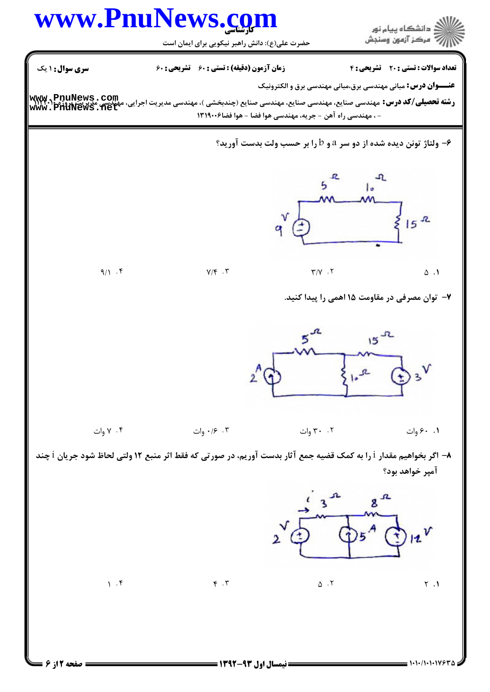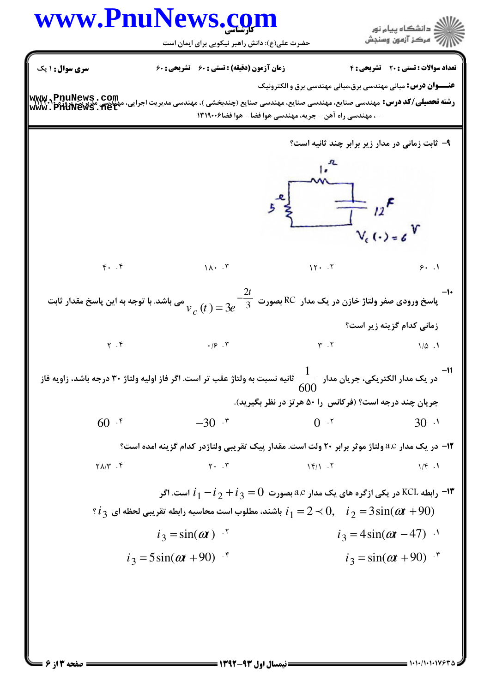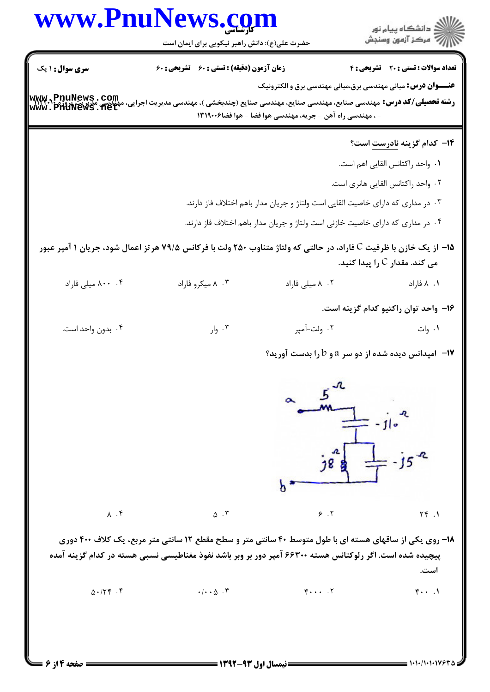### www.PnuNews.com ار<br>اگر دانشگاه پیام نور<br>اگر مرکز آزمون وسنجش حضرت علی(ع): دانش راهبر نیکویی برای ایمان است تعداد سوالات : تستى : 20 - تشريحي : 4 **سری سوال :** ۱ یک **زمان آزمون (دقیقه) : تستی : ۶۰ تشریحی : ۶۰ عنـــوان درس:** مبانی مهندسی برق،مبانی مهندسی برق و الکترونیک ر**شته تحصیلی/کد درس: مهندسی صنایع، مهندسی صنایع، مهندسی صنایع (چندبخشی )، مهندسی مدیریت اجرایی، مهندسی مدیریت پروژ<br>www . PnuNews . net** - ، مهندسی راه آهن - جریه، مهندسی هوا فضا - هوا فضا۶۰۰۶۱۳۱۹ **۱۴** کدام گزینه نادرست است؟ ٠١. واحد راكتانس القايي اهم است. ٢. واحد راكتانس القايي هانري است. ۰۳ در مداری که دارای خاصیت القایی است ولتاژ و جریان مدار باهم اختلاف فاز دارند. ۰۴ در مداری که دارای خاصیت خازنی است ولتاژ و جریان مدار باهم اختلاف فاز دارند. 1۵- از یک خازن با ظرفیت C فاراد، در حالتی که ولتاژ متناوب ۲۵۰ ولت با فرکانس ۷۹/۵ هر تز اعمال شود، جریان ۱ آمیر عبور می کند. مقدار C را پیدا کنید. ۰۴ ۸۰۰ میلی فاراد ۰۳ میکروفاراد ۰۲ ۸ میلی فاراد ۰۱ ۸ فاراد ۱۶- واحد توان راکتیو کدام گزینه است. ۰۲ ولت-آمیر  $, \vert, \cdot, \cdot \rangle$ ۰۱ وات ۰۴ بدون واحد است. **۱۷**- امپدانس دیده شده از دو سر a و b را بدست آورید؟  $78,1$ b  $\Lambda$  .  $\mathfrak{f}$  $\Delta$ . ٣  $9.7$  $YY.1$ ۱۸- روی یکی از ساقهای هسته ای با طول متوسط ۴۰ سانتی متر و سطح مقطع ۱۲ سانتی متر مربع، یک کلاف ۴۰۰ دوری پیچیده شده است. اگر رلوکتانس هسته ۶۶۳۰۰ آمپر دور بر وبر باشد نفوذ مغناطیسی نسبی هسته در کدام گزینه آمده است.  $\Delta$ .  $/7$   $f$ .  $f$  $F \cdot \cdot \cdot$  .  $Y$  $f \cdot \cdot \cdot$  $\cdot/\cdot\cdot\Delta$ . ٣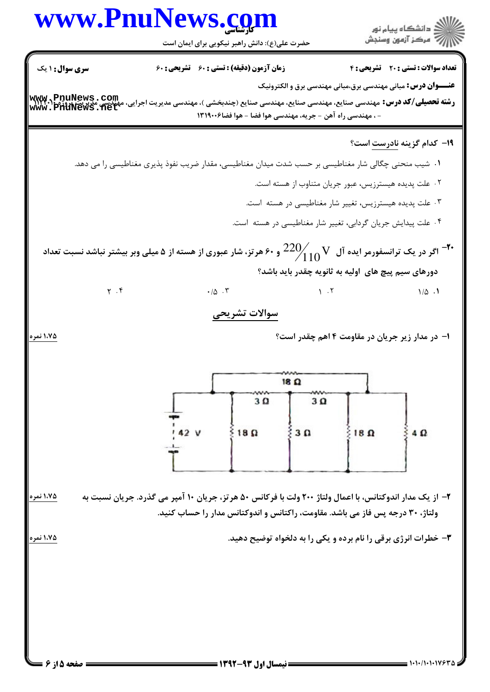### www.PnuNews.com .<br>الآن دانشگاه پیام نور<br>الآن مرکز آزمون وسنجش حضرت علی(ع): دانش راهبر نیکویی برای ایمان است تعداد سوالات : تستى : 20 - تشريحي : 4 **سری سوال : ۱ یک زمان آزمون (دقیقه) : تستی : 60 تشریحی: 60 عنـــوان درس:** مبانی مهندسی برق،مبانی مهندسی برق و الکترونیک www.PnuNews.com ر**شته تحصیلی/کد درس: مهندسی صنایع، مهندسی صنایع، مهندسی صنایع (چندبخشی )، مهندسی مدیریت اجرایی، مهندسی مدیریت پروژ<br>www . PnuNews . net** - ، مهندسی راه آهن - جریه، مهندسی هوا فضا - هوا فضا۶۰۰۶۱۳۱۹ 19- كدام گزينه نادرست است؟ ۰۱ شیب منحنی چگالی شار مغناطیسی بر حسب شدت میدان مغناطیسی، مقدار ضریب نفوذ پذیری مغناطیسی را می دهد. ۰۲ علت پدیده هیسترزیس، عبور جریان متناوب از هسته است. ۰۳ علت پدیده هیسترزیس، تغییر شار مغناطیسی در هسته است.

۰۴ علت پیدایش جریان گردابی، تغییر شار مغناطیسی در هسته است.

اگر در یک ترانسفورمر ایده آل  $\sim \frac{220}{110}$  و ۶۰ هرتز، شار عبوری از هسته از ۵ میلی وبر بیشتر نباشد نسبت تعداد  $^{-1}$ دورهای سیم پیچ های آولیه به ثانویه چقدر باید باشد؟

> $1.7$  $1/\Delta$ .

#### سوالات تشريحي

 $.10.7$ 

۱– در مدار زیر جریان در مقاومت ۴ اهم چقدر است؟

|                             |                         | $18\Omega$              |              |     |
|-----------------------------|-------------------------|-------------------------|--------------|-----|
| oqu<br>142V<br>$\mathbf{L}$ | $3\Omega$<br>$18\Omega$ | $3\Omega$<br>$3 \Omega$ | $18\ \Omega$ | 4 Ω |
|                             |                         |                         |              |     |

۱،۷۵ نمر، ۲– از یک مدار اندوکتانس، با اعمال ولتاژ ۲۰۰ ولت با فرکانس ۵۰ هرتز، جریان ۱۰ آمپر می گذرد. جریان نسبت به ولتاژ، ۳۰ درجه پس فاز می باشد. مقاومت، راکتانس و اندوکتانس مدار را حساب کنید.

۳- خطرات انرژی برقی را نام برده و یکی را به دلخواه توضیح دهید.

1،75 نمره

1،75 نمره

 $Y \cdot Y$